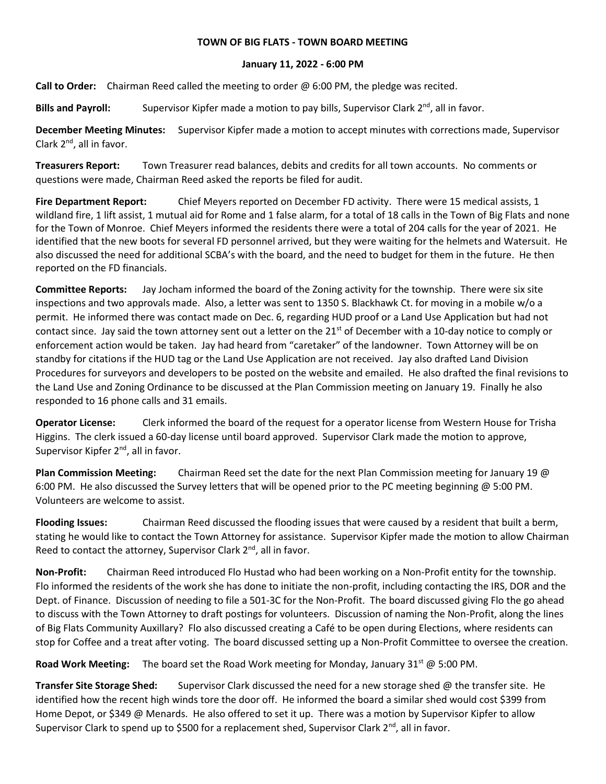## **TOWN OF BIG FLATS - TOWN BOARD MEETING**

## **January 11, 2022 - 6:00 PM**

**Call to Order:** Chairman Reed called the meeting to order @ 6:00 PM, the pledge was recited.

Bills and Payroll: Supervisor Kipfer made a motion to pay bills, Supervisor Clark 2<sup>nd</sup>, all in favor.

**December Meeting Minutes:** Supervisor Kipfer made a motion to accept minutes with corrections made, Supervisor Clark 2<sup>nd</sup>, all in favor.

**Treasurers Report:** Town Treasurer read balances, debits and credits for all town accounts. No comments or questions were made, Chairman Reed asked the reports be filed for audit.

**Fire Department Report:** Chief Meyers reported on December FD activity. There were 15 medical assists, 1 wildland fire, 1 lift assist, 1 mutual aid for Rome and 1 false alarm, for a total of 18 calls in the Town of Big Flats and none for the Town of Monroe. Chief Meyers informed the residents there were a total of 204 calls for the year of 2021. He identified that the new boots for several FD personnel arrived, but they were waiting for the helmets and Watersuit. He also discussed the need for additional SCBA's with the board, and the need to budget for them in the future. He then reported on the FD financials.

**Committee Reports:** Jay Jocham informed the board of the Zoning activity for the township. There were six site inspections and two approvals made. Also, a letter was sent to 1350 S. Blackhawk Ct. for moving in a mobile w/o a permit. He informed there was contact made on Dec. 6, regarding HUD proof or a Land Use Application but had not contact since. Jay said the town attorney sent out a letter on the  $21^{st}$  of December with a 10-day notice to comply or enforcement action would be taken. Jay had heard from "caretaker" of the landowner. Town Attorney will be on standby for citations if the HUD tag or the Land Use Application are not received. Jay also drafted Land Division Procedures for surveyors and developers to be posted on the website and emailed. He also drafted the final revisions to the Land Use and Zoning Ordinance to be discussed at the Plan Commission meeting on January 19. Finally he also responded to 16 phone calls and 31 emails.

**Operator License:** Clerk informed the board of the request for a operator license from Western House for Trisha Higgins. The clerk issued a 60-day license until board approved. Supervisor Clark made the motion to approve, Supervisor Kipfer 2<sup>nd</sup>, all in favor.

**Plan Commission Meeting:** Chairman Reed set the date for the next Plan Commission meeting for January 19 @ 6:00 PM. He also discussed the Survey letters that will be opened prior to the PC meeting beginning @ 5:00 PM. Volunteers are welcome to assist.

**Flooding Issues:** Chairman Reed discussed the flooding issues that were caused by a resident that built a berm, stating he would like to contact the Town Attorney for assistance. Supervisor Kipfer made the motion to allow Chairman Reed to contact the attorney, Supervisor Clark 2<sup>nd</sup>, all in favor.

**Non-Profit:** Chairman Reed introduced Flo Hustad who had been working on a Non-Profit entity for the township. Flo informed the residents of the work she has done to initiate the non-profit, including contacting the IRS, DOR and the Dept. of Finance. Discussion of needing to file a 501-3C for the Non-Profit. The board discussed giving Flo the go ahead to discuss with the Town Attorney to draft postings for volunteers. Discussion of naming the Non-Profit, along the lines of Big Flats Community Auxillary? Flo also discussed creating a Café to be open during Elections, where residents can stop for Coffee and a treat after voting. The board discussed setting up a Non-Profit Committee to oversee the creation.

Road Work Meeting: The board set the Road Work meeting for Monday, January 31<sup>st</sup> @ 5:00 PM.

**Transfer Site Storage Shed:** Supervisor Clark discussed the need for a new storage shed @ the transfer site. He identified how the recent high winds tore the door off. He informed the board a similar shed would cost \$399 from Home Depot, or \$349 @ Menards. He also offered to set it up. There was a motion by Supervisor Kipfer to allow Supervisor Clark to spend up to \$500 for a replacement shed, Supervisor Clark  $2^{nd}$ , all in favor.